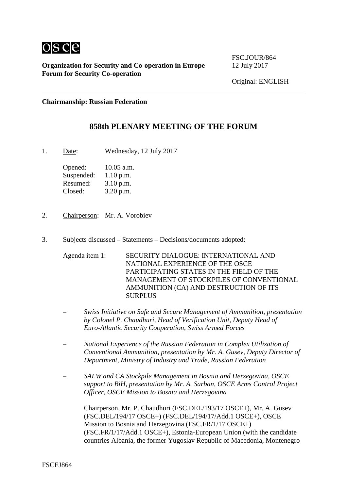

FSC.JOUR/864

Original: ENGLISH

**Chairmanship: Russian Federation**

# **858th PLENARY MEETING OF THE FORUM**

1. Date: Wednesday, 12 July 2017

Opened: 10.05 a.m. Suspended: 1.10 p.m. Resumed: 3.10 p.m. Closed: 3.20 p.m.

- 2. Chairperson: Mr. A. Vorobiev
- 3. Subjects discussed Statements Decisions/documents adopted:
	- Agenda item 1: SECURITY DIALOGUE: INTERNATIONAL AND NATIONAL EXPERIENCE OF THE OSCE PARTICIPATING STATES IN THE FIELD OF THE MANAGEMENT OF STOCKPILES OF CONVENTIONAL AMMUNITION (CA) AND DESTRUCTION OF ITS SURPLUS
	- *Swiss Initiative on Safe and Secure Management of Ammunition, presentation by Colonel P. Chaudhuri, Head of Verification Unit, Deputy Head of Euro-Atlantic Security Cooperation, Swiss Armed Forces*
	- *National Experience of the Russian Federation in Complex Utilization of Conventional Ammunition, presentation by Mr. A. Gusev, Deputy Director of Department, Ministry of Industry and Trade, Russian Federation*
	- *SALW and CA Stockpile Management in Bosnia and Herzegovina, OSCE support to BiH, presentation by Mr. A. Sarban, OSCE Arms Control Project Officer, OSCE Mission to Bosnia and Herzegovina*

Chairperson, Mr. P. Chaudhuri (FSC.DEL/193/17 OSCE+), Mr. A. Gusev (FSC.DEL/194/17 OSCE+) (FSC.DEL/194/17/Add.1 OSCE+), OSCE Mission to Bosnia and Herzegovina (FSC.FR/1/17 OSCE+) (FSC.FR/1/17/Add.1 OSCE+), Estonia-European Union (with the candidate countries Albania, the former Yugoslav Republic of Macedonia, Montenegro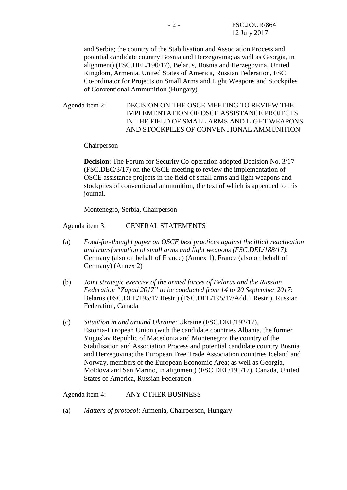and Serbia; the country of the Stabilisation and Association Process and potential candidate country Bosnia and Herzegovina; as well as Georgia, in alignment) (FSC.DEL/190/17), Belarus, Bosnia and Herzegovina, United Kingdom, Armenia, United States of America, Russian Federation, FSC Co-ordinator for Projects on Small Arms and Light Weapons and Stockpiles of Conventional Ammunition (Hungary)

Agenda item 2: DECISION ON THE OSCE MEETING TO REVIEW THE IMPLEMENTATION OF OSCE ASSISTANCE PROJECTS IN THE FIELD OF SMALL ARMS AND LIGHT WEAPONS AND STOCKPILES OF CONVENTIONAL AMMUNITION

Chairperson

**Decision**: The Forum for Security Co-operation adopted Decision No. 3/17 (FSC.DEC/3/17) on the OSCE meeting to review the implementation of OSCE assistance projects in the field of small arms and light weapons and stockpiles of conventional ammunition, the text of which is appended to this journal.

Montenegro, Serbia, Chairperson

Agenda item 3: GENERAL STATEMENTS

- (a) *Food-for-thought paper on OSCE best practices against the illicit reactivation and transformation of small arms and light weapons (FSC.DEL/188/17)*: Germany (also on behalf of France) (Annex 1), France (also on behalf of Germany) (Annex 2)
- (b) *Joint strategic exercise of the armed forces of Belarus and the Russian Federation "Zapad 2017" to be conducted from 14 to 20 September 2017*: Belarus (FSC.DEL/195/17 Restr.) (FSC.DEL/195/17/Add.1 Restr.), Russian Federation, Canada
- (c) *Situation in and around Ukraine*: Ukraine (FSC.DEL/192/17), Estonia-European Union (with the candidate countries Albania, the former Yugoslav Republic of Macedonia and Montenegro; the country of the Stabilisation and Association Process and potential candidate country Bosnia and Herzegovina; the European Free Trade Association countries Iceland and Norway, members of the European Economic Area; as well as Georgia, Moldova and San Marino, in alignment) (FSC.DEL/191/17), Canada, United States of America, Russian Federation

Agenda item 4: ANY OTHER BUSINESS

(a) *Matters of protocol*: Armenia, Chairperson, Hungary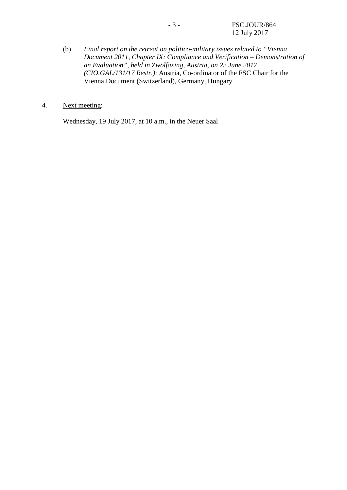- (b) *Final report on the retreat on politico-military issues related to "Vienna Document 2011, Chapter IX: Compliance and Verification – Demonstration of an Evaluation", held in Zwölfaxing, Austria, on 22 June 2017 (CIO.GAL/131/17 Restr.)*: Austria, Co-ordinator of the FSC Chair for the Vienna Document (Switzerland), Germany, Hungary
- 4. Next meeting:

Wednesday, 19 July 2017, at 10 a.m., in the Neuer Saal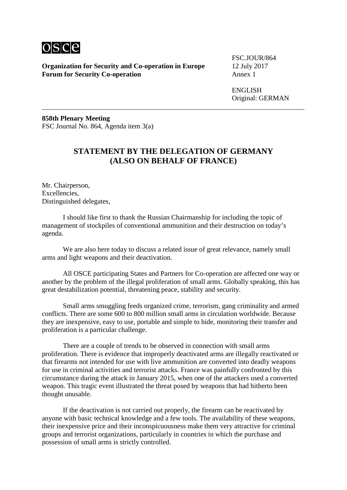

FSC.JOUR/864

ENGLISH Original: GERMAN

**858th Plenary Meeting** FSC Journal No. 864, Agenda item 3(a)

# **STATEMENT BY THE DELEGATION OF GERMANY (ALSO ON BEHALF OF FRANCE)**

Mr. Chairperson, Excellencies, Distinguished delegates,

I should like first to thank the Russian Chairmanship for including the topic of management of stockpiles of conventional ammunition and their destruction on today's agenda.

We are also here today to discuss a related issue of great relevance, namely small arms and light weapons and their deactivation.

All OSCE participating States and Partners for Co-operation are affected one way or another by the problem of the illegal proliferation of small arms. Globally speaking, this has great destabilization potential, threatening peace, stability and security.

Small arms smuggling feeds organized crime, terrorism, gang criminality and armed conflicts. There are some 600 to 800 million small arms in circulation worldwide. Because they are inexpensive, easy to use, portable and simple to hide, monitoring their transfer and proliferation is a particular challenge.

There are a couple of trends to be observed in connection with small arms proliferation. There is evidence that improperly deactivated arms are illegally reactivated or that firearms not intended for use with live ammunition are converted into deadly weapons for use in criminal activities and terrorist attacks. France was painfully confronted by this circumstance during the attack in January 2015, when one of the attackers used a converted weapon. This tragic event illustrated the threat posed by weapons that had hitherto been thought unusable.

If the deactivation is not carried out properly, the firearm can be reactivated by anyone with basic technical knowledge and a few tools. The availability of these weapons, their inexpensive price and their inconspicuousness make them very attractive for criminal groups and terrorist organizations, particularly in countries in which the purchase and possession of small arms is strictly controlled.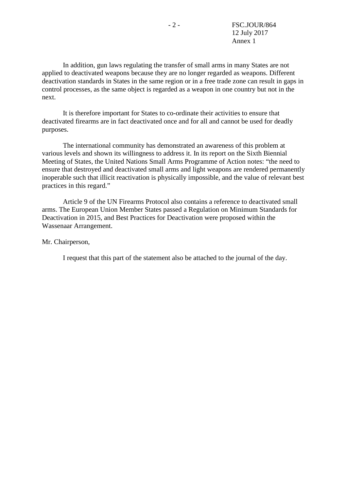In addition, gun laws regulating the transfer of small arms in many States are not applied to deactivated weapons because they are no longer regarded as weapons. Different deactivation standards in States in the same region or in a free trade zone can result in gaps in control processes, as the same object is regarded as a weapon in one country but not in the next.

It is therefore important for States to co-ordinate their activities to ensure that deactivated firearms are in fact deactivated once and for all and cannot be used for deadly purposes.

The international community has demonstrated an awareness of this problem at various levels and shown its willingness to address it. In its report on the Sixth Biennial Meeting of States, the United Nations Small Arms Programme of Action notes: "the need to ensure that destroyed and deactivated small arms and light weapons are rendered permanently inoperable such that illicit reactivation is physically impossible, and the value of relevant best practices in this regard."

Article 9 of the UN Firearms Protocol also contains a reference to deactivated small arms. The European Union Member States passed a Regulation on Minimum Standards for Deactivation in 2015, and Best Practices for Deactivation were proposed within the Wassenaar Arrangement.

Mr. Chairperson,

I request that this part of the statement also be attached to the journal of the day.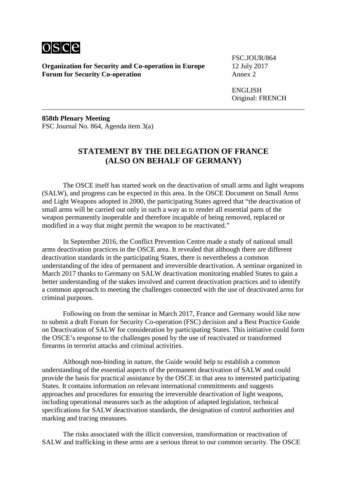

FSC.JOUR/864

ENGLISH Original: FRENCH

**858th Plenary Meeting** FSC Journal No. 864, Agenda item 3(a)

# **STATEMENT BY THE DELEGATION OF FRANCE (ALSO ON BEHALF OF GERMANY)**

The OSCE itself has started work on the deactivation of small arms and light weapons (SALW), and progress can be expected in this area. In the OSCE Document on Small Arms and Light Weapons adopted in 2000, the participating States agreed that "the deactivation of small arms will be carried out only in such a way as to render all essential parts of the weapon permanently inoperable and therefore incapable of being removed, replaced or modified in a way that might permit the weapon to be reactivated."

In September 2016, the Conflict Prevention Centre made a study of national small arms deactivation practices in the OSCE area. It revealed that although there are different deactivation standards in the participating States, there is nevertheless a common understanding of the idea of permanent and irreversible deactivation. A seminar organized in March 2017 thanks to Germany on SALW deactivation monitoring enabled States to gain a better understanding of the stakes involved and current deactivation practices and to identify a common approach to meeting the challenges connected with the use of deactivated arms for criminal purposes.

Following on from the seminar in March 2017, France and Germany would like now to submit a draft Forum for Security Co-operation (FSC) decision and a Best Practice Guide on Deactivation of SALW for consideration by participating States. This initiative could form the OSCE's response to the challenges posed by the use of reactivated or transformed firearms in terrorist attacks and criminal activities.

Although non-binding in nature, the Guide would help to establish a common understanding of the essential aspects of the permanent deactivation of SALW and could provide the basis for practical assistance by the OSCE in that area to interested participating States. It contains information on relevant international commitments and suggests approaches and procedures for ensuring the irreversible deactivation of light weapons, including operational measures such as the adoption of adapted legislation, technical specifications for SALW deactivation standards, the designation of control authorities and marking and tracing measures.

The risks associated with the illicit conversion, transformation or reactivation of SALW and trafficking in these arms are a serious threat to our common security. The OSCE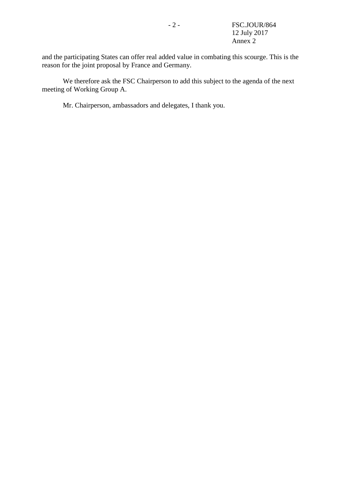and the participating States can offer real added value in combating this scourge. This is the reason for the joint proposal by France and Germany.

We therefore ask the FSC Chairperson to add this subject to the agenda of the next meeting of Working Group A.

Mr. Chairperson, ambassadors and delegates, I thank you.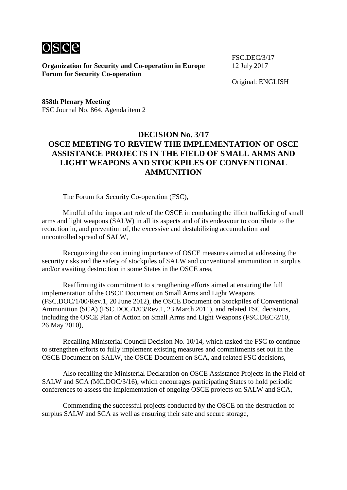

FSC.DEC/3/17

Original: ENGLISH

**858th Plenary Meeting** FSC Journal No. 864, Agenda item 2

# **DECISION No. 3/17 OSCE MEETING TO REVIEW THE IMPLEMENTATION OF OSCE ASSISTANCE PROJECTS IN THE FIELD OF SMALL ARMS AND LIGHT WEAPONS AND STOCKPILES OF CONVENTIONAL AMMUNITION**

The Forum for Security Co-operation (FSC),

Mindful of the important role of the OSCE in combating the illicit trafficking of small arms and light weapons (SALW) in all its aspects and of its endeavour to contribute to the reduction in, and prevention of, the excessive and destabilizing accumulation and uncontrolled spread of SALW,

Recognizing the continuing importance of OSCE measures aimed at addressing the security risks and the safety of stockpiles of SALW and conventional ammunition in surplus and/or awaiting destruction in some States in the OSCE area,

Reaffirming its commitment to strengthening efforts aimed at ensuring the full implementation of the OSCE Document on Small Arms and Light Weapons (FSC.DOC/1/00/Rev.1, 20 June 2012), the OSCE Document on Stockpiles of Conventional Ammunition (SCA) (FSC.DOC/1/03/Rev.1, 23 March 2011), and related FSC decisions, including the OSCE Plan of Action on Small Arms and Light Weapons (FSC.DEC/2/10, 26 May 2010),

Recalling Ministerial Council Decision No. 10/14, which tasked the FSC to continue to strengthen efforts to fully implement existing measures and commitments set out in the OSCE Document on SALW, the OSCE Document on SCA, and related FSC decisions,

Also recalling the Ministerial Declaration on OSCE Assistance Projects in the Field of SALW and SCA (MC.DOC/3/16), which encourages participating States to hold periodic conferences to assess the implementation of ongoing OSCE projects on SALW and SCA,

Commending the successful projects conducted by the OSCE on the destruction of surplus SALW and SCA as well as ensuring their safe and secure storage,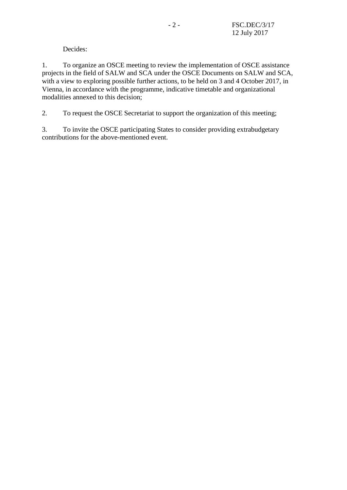Decides:

1. To organize an OSCE meeting to review the implementation of OSCE assistance projects in the field of SALW and SCA under the OSCE Documents on SALW and SCA, with a view to exploring possible further actions, to be held on 3 and 4 October 2017, in Vienna, in accordance with the programme, indicative timetable and organizational modalities annexed to this decision;

2. To request the OSCE Secretariat to support the organization of this meeting;

3. To invite the OSCE participating States to consider providing extrabudgetary contributions for the above-mentioned event.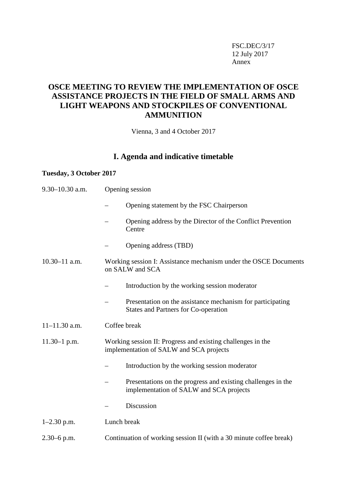FSC.DEC/3/17 12 July 2017 Annex

# **OSCE MEETING TO REVIEW THE IMPLEMENTATION OF OSCE ASSISTANCE PROJECTS IN THE FIELD OF SMALL ARMS AND LIGHT WEAPONS AND STOCKPILES OF CONVENTIONAL AMMUNITION**

Vienna, 3 and 4 October 2017

# **I. Agenda and indicative timetable**

## **Tuesday, 3 October 2017**

| $9.30 - 10.30$ a.m. | Opening session                                                                                         |
|---------------------|---------------------------------------------------------------------------------------------------------|
|                     | Opening statement by the FSC Chairperson                                                                |
|                     | Opening address by the Director of the Conflict Prevention<br>Centre                                    |
|                     | Opening address (TBD)                                                                                   |
| $10.30 - 11$ a.m.   | Working session I: Assistance mechanism under the OSCE Documents<br>on SALW and SCA                     |
|                     | Introduction by the working session moderator                                                           |
|                     | Presentation on the assistance mechanism for participating<br>States and Partners for Co-operation      |
| $11 - 11.30$ a.m.   | Coffee break                                                                                            |
| $11.30 - 1$ p.m.    | Working session II: Progress and existing challenges in the<br>implementation of SALW and SCA projects  |
|                     | Introduction by the working session moderator                                                           |
|                     | Presentations on the progress and existing challenges in the<br>implementation of SALW and SCA projects |
|                     | Discussion                                                                                              |
| $1-2.30$ p.m.       | Lunch break                                                                                             |
| $2.30 - 6$ p.m.     | Continuation of working session II (with a 30 minute coffee break)                                      |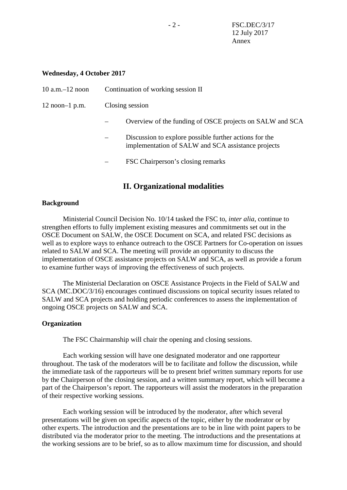## **Wednesday, 4 October 2017**

| $10$ a.m. $-12$ noon | Continuation of working session II                                                                           |
|----------------------|--------------------------------------------------------------------------------------------------------------|
| $12$ noon-1 p.m.     | Closing session                                                                                              |
|                      | Overview of the funding of OSCE projects on SALW and SCA                                                     |
|                      | Discussion to explore possible further actions for the<br>implementation of SALW and SCA assistance projects |
|                      | FSC Chairperson's closing remarks                                                                            |

# **II. Organizational modalities**

## **Background**

Ministerial Council Decision No. 10/14 tasked the FSC to, *inter alia*, continue to strengthen efforts to fully implement existing measures and commitments set out in the OSCE Document on SALW, the OSCE Document on SCA, and related FSC decisions as well as to explore ways to enhance outreach to the OSCE Partners for Co-operation on issues related to SALW and SCA. The meeting will provide an opportunity to discuss the implementation of OSCE assistance projects on SALW and SCA, as well as provide a forum to examine further ways of improving the effectiveness of such projects.

The Ministerial Declaration on OSCE Assistance Projects in the Field of SALW and SCA (MC.DOC/3/16) encourages continued discussions on topical security issues related to SALW and SCA projects and holding periodic conferences to assess the implementation of ongoing OSCE projects on SALW and SCA.

## **Organization**

The FSC Chairmanship will chair the opening and closing sessions.

Each working session will have one designated moderator and one rapporteur throughout. The task of the moderators will be to facilitate and follow the discussion, while the immediate task of the rapporteurs will be to present brief written summary reports for use by the Chairperson of the closing session, and a written summary report, which will become a part of the Chairperson's report. The rapporteurs will assist the moderators in the preparation of their respective working sessions.

Each working session will be introduced by the moderator, after which several presentations will be given on specific aspects of the topic, either by the moderator or by other experts. The introduction and the presentations are to be in line with point papers to be distributed via the moderator prior to the meeting. The introductions and the presentations at the working sessions are to be brief, so as to allow maximum time for discussion, and should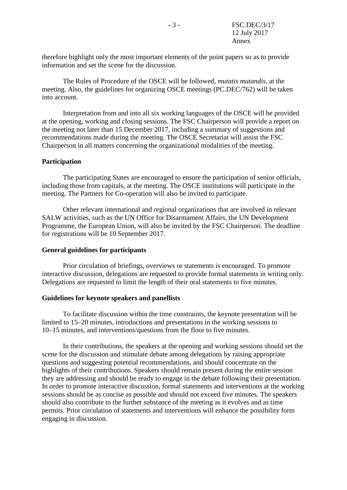therefore highlight only the most important elements of the point papers so as to provide information and set the scene for the discussion.

The Rules of Procedure of the OSCE will be followed, *mutatis mutandis*, at the meeting. Also, the guidelines for organizing OSCE meetings (PC.DEC/762) will be taken into account.

Interpretation from and into all six working languages of the OSCE will be provided at the opening, working and closing sessions. The FSC Chairperson will provide a report on the meeting not later than 15 December 2017, including a summary of suggestions and recommendations made during the meeting. The OSCE Secretariat will assist the FSC Chairperson in all matters concerning the organizational modalities of the meeting.

### **Participation**

The participating States are encouraged to ensure the participation of senior officials, including those from capitals, at the meeting. The OSCE institutions will participate in the meeting. The Partners for Co-operation will also be invited to participate.

Other relevant international and regional organizations that are involved in relevant SALW activities, such as the UN Office for Disarmament Affairs, the UN Development Programme, the European Union, will also be invited by the FSC Chairperson. The deadline for registrations will be 10 September 2017.

#### **General guidelines for participants**

Prior circulation of briefings, overviews or statements is encouraged. To promote interactive discussion, delegations are requested to provide formal statements in writing only. Delegations are requested to limit the length of their oral statements to five minutes.

#### **Guidelines for keynote speakers and panellists**

To facilitate discussion within the time constraints, the keynote presentation will be limited to 15–20 minutes, introductions and presentations in the working sessions to 10–15 minutes, and interventions/questions from the floor to five minutes.

In their contributions, the speakers at the opening and working sessions should set the scene for the discussion and stimulate debate among delegations by raising appropriate questions and suggesting potential recommendations, and should concentrate on the highlights of their contributions. Speakers should remain present during the entire session they are addressing and should be ready to engage in the debate following their presentation. In order to promote interactive discussion, formal statements and interventions at the working sessions should be as concise as possible and should not exceed five minutes. The speakers should also contribute to the further substance of the meeting as it evolves and as time permits. Prior circulation of statements and interventions will enhance the possibility form engaging in discussion.